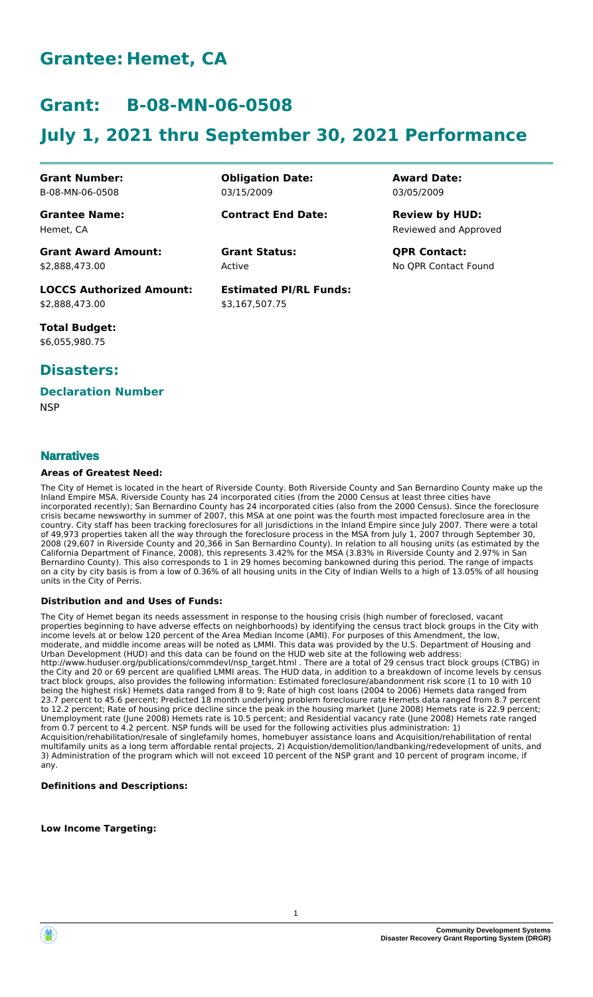# **Grantee: Hemet, CA**

# **Grant: B-08-MN-06-0508**

# **July 1, 2021 thru September 30, 2021 Performance**

**Grant Number:** B-08-MN-06-0508

**Grantee Name:** Hemet, CA

03/15/2009 **Contract End Date:**

**Obligation Date:**

Active

**Estimated PI/RL Funds:** \$3,167,507.75

**Award Date:** 03/05/2009

Reviewed and Approved **Review by HUD:**

**Grant Status: QPR Contact:** No QPR Contact Found

**Grant Award Amount:** \$2,888,473.00

**LOCCS Authorized Amount:** \$2,888,473.00

**Total Budget:** \$6,055,980.75

### **Disasters:**

## **Declaration Number**

**NSP** 

#### **Narratives**

#### **Areas of Greatest Need:**

The City of Hemet is located in the heart of Riverside County. Both Riverside County and San Bernardino County make up the Inland Empire MSA. Riverside County has 24 incorporated cities (from the 2000 Census at least three cities have incorporated recently); San Bernardino County has 24 incorporated cities (also from the 2000 Census). Since the foreclosure crisis became newsworthy in summer of 2007, this MSA at one point was the fourth most impacted foreclosure area in the country. City staff has been tracking foreclosures for all jurisdictions in the Inland Empire since July 2007. There were a total of 49,973 properties taken all the way through the foreclosure process in the MSA from July 1, 2007 through September 30, 2008 (29,607 in Riverside County and 20,366 in San Bernardino County). In relation to all housing units (as estimated by the California Department of Finance, 2008), this represents 3.42% for the MSA (3.83% in Riverside County and 2.97% in San Bernardino County). This also corresponds to 1 in 29 homes becoming bankowned during this period. The range of impacts on a city by city basis is from a low of 0.36% of all housing units in the City of Indian Wells to a high of 13.05% of all housing units in the City of Perris.

#### **Distribution and and Uses of Funds:**

The City of Hemet began its needs assessment in response to the housing crisis (high number of foreclosed, vacant properties beginning to have adverse effects on neighborhoods) by identifying the census tract block groups in the City with income levels at or below 120 percent of the Area Median Income (AMI). For purposes of this Amendment, the low, moderate, and middle income areas will be noted as LMMI. This data was provided by the U.S. Department of Housing and Urban Development (HUD) and this data can be found on the HUD web site at the following web address: http://www.huduser.org/publications/commdevl/nsp\_target.html . There are a total of 29 census tract block groups (CTBG) in the City and 20 or 69 percent are qualified LMMI areas. The HUD data, in addition to a breakdown of income levels by census tract block groups, also provides the following information: Estimated foreclosure/abandonment risk score (1 to 10 with 10 being the highest risk) Hemets data ranged from 8 to 9; Rate of high cost loans (2004 to 2006) Hemets data ranged from 23.7 percent to 45.6 percent; Predicted 18 month underlying problem foreclosure rate Hemets data ranged from 8.7 percent to 12.2 percent; Rate of housing price decline since the peak in the housing market (June 2008) Hemets rate is 22.9 percent; Unemployment rate (June 2008) Hemets rate is 10.5 percent; and Residential vacancy rate (June 2008) Hemets rate ranged from 0.7 percent to 4.2 percent. NSP funds will be used for the following activities plus administration: 1) Acquisition/rehabilitation/resale of singlefamily homes, homebuyer assistance loans and Acquisition/rehabilitation of rental multifamily units as a long term affordable rental projects, 2) Acquistion/demolition/landbanking/redevelopment of units, and 3) Administration of the program which will not exceed 10 percent of the NSP grant and 10 percent of program income, if any.

#### **Definitions and Descriptions:**

**Low Income Targeting:**

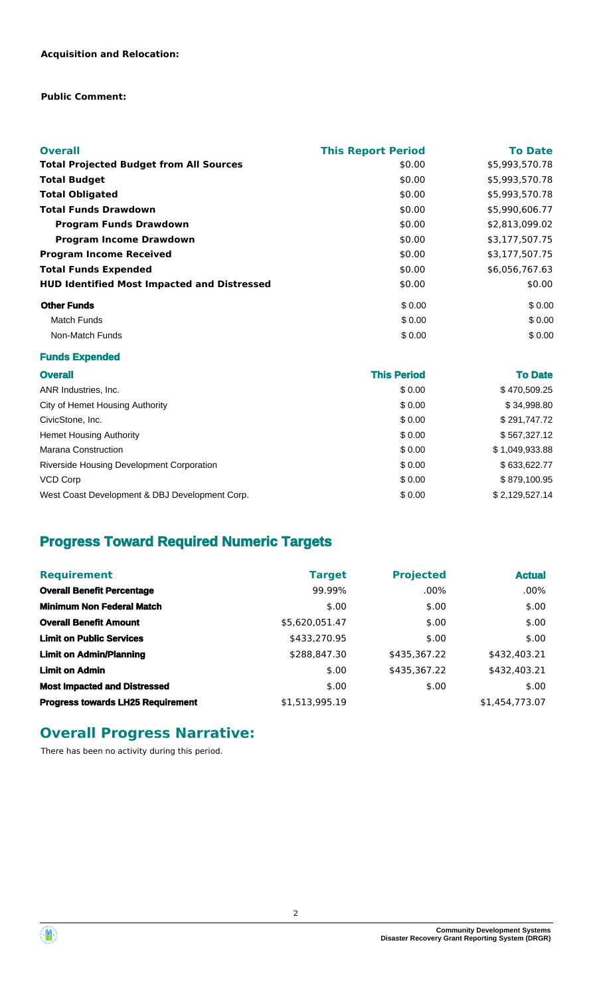#### **Public Comment:**

| <b>Overall</b>                                     | <b>This Report Period</b> | <b>To Date</b> |
|----------------------------------------------------|---------------------------|----------------|
| <b>Total Projected Budget from All Sources</b>     | \$0.00                    | \$5,993,570.78 |
| <b>Total Budget</b>                                | \$0.00                    | \$5,993,570.78 |
| <b>Total Obligated</b>                             | \$0.00                    | \$5,993,570.78 |
| <b>Total Funds Drawdown</b>                        | \$0.00                    | \$5,990,606.77 |
| <b>Program Funds Drawdown</b>                      | \$0.00                    | \$2,813,099.02 |
| <b>Program Income Drawdown</b>                     | \$0.00                    | \$3,177,507.75 |
| <b>Program Income Received</b>                     | \$0.00                    | \$3,177,507.75 |
| <b>Total Funds Expended</b>                        | \$0.00                    | \$6,056,767.63 |
| <b>HUD Identified Most Impacted and Distressed</b> | \$0.00                    | \$0.00         |
| <b>Other Funds</b>                                 | \$0.00                    | \$0.00         |
| Match Funds                                        | \$0.00                    | \$0.00         |
| Non-Match Funds                                    | \$0.00                    | \$0.00         |

#### **Funds Expended**

| <b>Overall</b>                                 | <b>This Period</b> | <b>To Date</b> |
|------------------------------------------------|--------------------|----------------|
| ANR Industries, Inc.                           | \$0.00             | \$470,509.25   |
| City of Hemet Housing Authority                | \$0.00             | \$34,998.80    |
| CivicStone, Inc.                               | \$0.00             | \$291,747.72   |
| <b>Hemet Housing Authority</b>                 | \$0.00             | \$567,327.12   |
| Marana Construction                            | \$0.00             | \$1,049,933.88 |
| Riverside Housing Development Corporation      | \$0.00             | \$633,622.77   |
| VCD Corp                                       | \$0.00             | \$879,100.95   |
| West Coast Development & DBJ Development Corp. | \$0.00             | \$2,129,527.14 |

## **Progress Toward Required Numeric Targets**

| <b>Requirement</b>                       | <b>Target</b>  | <b>Projected</b> | <b>Actual</b>  |
|------------------------------------------|----------------|------------------|----------------|
| <b>Overall Benefit Percentage</b>        | 99.99%         | $.00\%$          | $.00\%$        |
| <b>Minimum Non Federal Match</b>         | \$.00          | \$.00            | \$.00          |
| <b>Overall Benefit Amount</b>            | \$5,620,051.47 | \$.00            | \$.00          |
| <b>Limit on Public Services</b>          | \$433,270.95   | \$.00            | \$.00          |
| <b>Limit on Admin/Planning</b>           | \$288,847.30   | \$435,367.22     | \$432,403.21   |
| <b>Limit on Admin</b>                    | \$.00          | \$435,367.22     | \$432,403.21   |
| <b>Most Impacted and Distressed</b>      | \$.00          | \$.00            | \$.00          |
| <b>Progress towards LH25 Requirement</b> | \$1,513,995.19 |                  | \$1,454,773.07 |

## **Overall Progress Narrative:**

There has been no activity during this period.